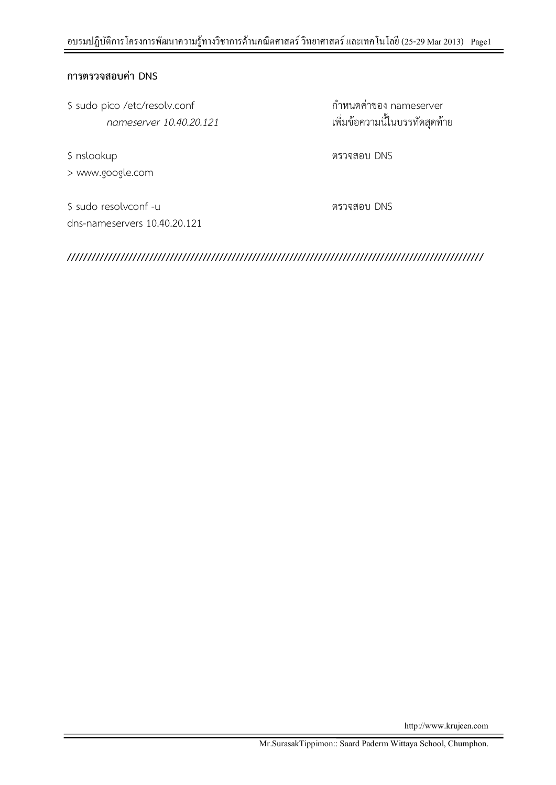## **การตรวจสอบค่า DNS**

\$ sudo pico /etc/resolv.conf กำหนดค่าของ nameserver

> www.google.com

*nameserver 10.40.20.121* เพิ่มข้อควำมนี้ในบรรทัดสุดท้ำย

\$ nslookup ตรวจสอบ DNS

\$ sudo resolvconf -u ตรวจสอบ DNS dns-nameservers 10.40.20.121

**/////////////////////////////////////////////////////////////////////////////////////////////////////**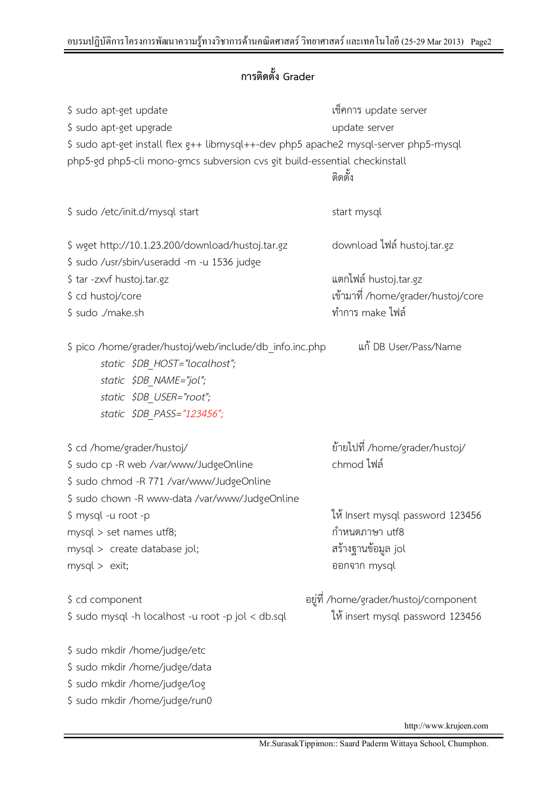## **การติดตั้ง Grader**

| \$ sudo apt-get update<br>\$ sudo apt-get upgrade<br>\$ sudo apt-get install flex g++ libmysql++-dev php5 apache2 mysql-server php5-mysql<br>php5-gd php5-cli mono-gmcs subversion cvs git build-essential checkinstall | เซ็คการ update server<br>update server<br>ติดตั้ง                                        |
|-------------------------------------------------------------------------------------------------------------------------------------------------------------------------------------------------------------------------|------------------------------------------------------------------------------------------|
| \$ sudo /etc/init.d/mysql start                                                                                                                                                                                         | start mysql                                                                              |
| \$ wget http://10.1.23.200/download/hustoj.tar.gz<br>\$ sudo /usr/sbin/useradd -m -u 1536 judge                                                                                                                         | download ไฟล์ hustoj.tar.gz                                                              |
| \$ tar -zxvf hustoj.tar.gz<br>\$ cd hustoj/core<br>\$ sudo ./make.sh                                                                                                                                                    | แตกไฟล์ hustoj.tar.gz<br>เข้ามาที่ /home/grader/hustoj/core<br>ทำการ make ไฟล์           |
| \$ pico /home/grader/hustoj/web/include/db_info.inc.php<br>static \$DB HOST="localhost";<br>static \$DB NAME="jol";<br>static \$DB_USER="root";<br>static \$DB_PASS="123456";                                           | แก้ DB User/Pass/Name                                                                    |
| \$ cd /home/grader/hustoj/<br>\$ sudo cp -R web /var/www/JudgeOnline<br>\$ sudo chmod -R 771 /var/www/JudgeOnline                                                                                                       | ย้ายไปที่ /home/grader/hustoj/<br>chmod ไฟล์                                             |
| \$ sudo chown -R www-data /var/www/JudgeOnline<br>\$ mysql -u root -p<br>mysql > set names utf8;<br>mysql > create database jol;<br>mysql > exit;                                                                       | ให้ Insert mysql password 123456<br>กำหนดภาษา utf8<br>สร้างฐานข้อมูล jol<br>ออกจาก mysql |
| \$ cd component<br>\$ sudo mysql -h localhost -u root -p jol < db.sql                                                                                                                                                   | อยู่ที่ /home/grader/hustoj/component<br>ให้ insert mysql password 123456                |
| \$ sudo mkdir /home/judge/etc                                                                                                                                                                                           |                                                                                          |

\$ sudo mkdir /home/judge/data \$ sudo mkdir /home/judge/log \$ sudo mkdir /home/judge/run0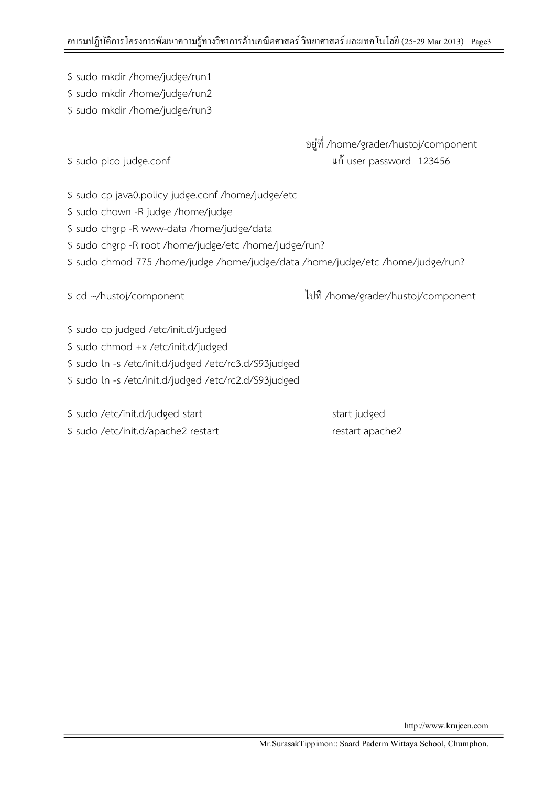\$ sudo mkdir /home/judge/run1

\$ sudo mkdir /home/judge/run2

\$ sudo mkdir /home/judge/run3

อยู่ที่ /home/grader/hustoj/component \$ sudo pico judge.conf แก้user password 123456

\$ sudo cp java0.policy judge.conf /home/judge/etc

\$ sudo chown -R judge /home/judge

\$ sudo chgrp -R www-data /home/judge/data

\$ sudo chgrp -R root /home/judge/etc /home/judge/run?

\$ sudo chmod 775 /home/judge /home/judge/data /home/judge/etc /home/judge/run?

\$ cd ~/hustoj/component ไปที่ /home/grader/hustoj/component

\$ sudo cp judged /etc/init.d/judged

\$ sudo chmod +x /etc/init.d/judged

\$ sudo ln -s /etc/init.d/judged /etc/rc3.d/S93judged

\$ sudo ln -s /etc/init.d/judged /etc/rc2.d/S93judged

\$ sudo /etc/init.d/judged start start start start judged \$ sudo /etc/init.d/apache2 restart restart restart apache2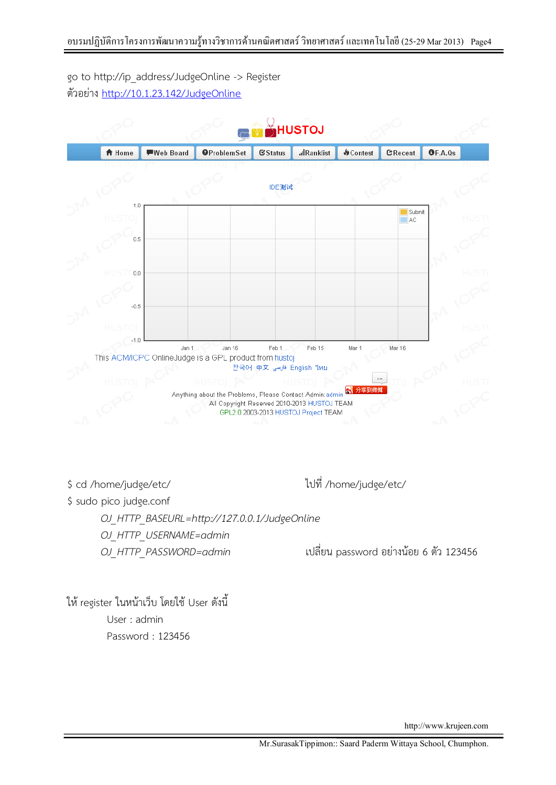go to http://ip\_address/JudgeOnline -> Register ตัวอย่ำง <http://10.1.23.142/JudgeOnline>

|                   |           | HUSTOJ                                                                        |                     |                                              |                  |                     |         |  |
|-------------------|-----------|-------------------------------------------------------------------------------|---------------------|----------------------------------------------|------------------|---------------------|---------|--|
| <del>A</del> Home | Web Board | <b>OProblemSet</b>                                                            | <b>Status</b>       | <b>alRanklist</b>                            | <b>M</b> Contest | CRecent             | OF.A.Qs |  |
|                   |           |                                                                               |                     |                                              |                  |                     |         |  |
|                   |           |                                                                               | IDE测试               |                                              |                  |                     |         |  |
| 1.0               |           |                                                                               |                     |                                              |                  |                     |         |  |
|                   |           |                                                                               |                     |                                              |                  | Submit<br><b>AC</b> |         |  |
| 0.5               |           |                                                                               |                     |                                              |                  |                     |         |  |
|                   |           |                                                                               |                     |                                              |                  |                     |         |  |
| 0.0               |           |                                                                               |                     |                                              |                  |                     |         |  |
|                   |           |                                                                               |                     |                                              |                  |                     |         |  |
|                   |           |                                                                               |                     |                                              |                  |                     |         |  |
| $-0.5$            |           |                                                                               |                     |                                              |                  |                     |         |  |
|                   |           |                                                                               |                     |                                              |                  |                     |         |  |
| -1.0              | Jan 1     | Jan 16                                                                        | Feb 1               | Feb 15                                       | Mar 1            | Mar 16              |         |  |
|                   |           | This ACM/ICPC OnlineJudge is a GPL product from hustoj                        |                     |                                              |                  |                     |         |  |
|                   |           |                                                                               | 한국어 中文 فلاسى 한국어 中文 |                                              |                  |                     |         |  |
|                   |           | Anything about the Problems, Please Contact Admin:admin <mark>33 分享到微博</mark> |                     |                                              |                  |                     |         |  |
|                   |           |                                                                               |                     | All Copyright Reserved 2010-2013 HUSTOJ TEAM |                  |                     |         |  |
|                   |           |                                                                               |                     | GPL2.0 2003-2013 HUSTOJ Project TEAM         |                  |                     |         |  |

\$ cd /home/judge/etc/ ไปที่ /home/judge/etc/

\$ sudo pico judge.conf

*OJ\_HTTP\_BASEURL=http://127.0.0.1/JudgeOnline OJ\_HTTP\_USERNAME=admin*

*OJ\_HTTP\_PASSWORD=admin* เปลี่ยน password อย่ำงน้อย 6 ตัว 123456

ให้ register ในหน้ำเว็บ โดยใช้ User ดังนี้ User : admin Password : 123456